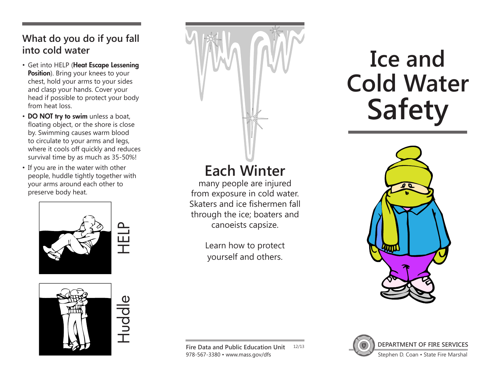#### **What do you do if you fall into cold water**

- Get into HELP (Heat Escape Lessening Position). Bring your knees to your chest, hold your arms to your sides and clasp your hands. Cover your head if possible to protect your body from heat loss.
- DO NOT try to swim unless a boat, floating object, or the shore is close by. Swimming causes warm blood to circulate to your arms and legs, where it cools off quickly and reduces survival time by as much as 35-50%!
- If you are in the water with other people, huddle tightly together with your arms around each other to preserve body heat.



Huddle

# **Each Winter**

many people are injured from exposure in cold water. Skaters and ice fishermen fall through the ice; boaters and canoeists capsize.

> Learn how to protect yourself and others.

# **Ice and Cold Water Safety**





**DEPARTMENT OF FIRE SERVICES** Stephen D. Coan • State Fire Marshal